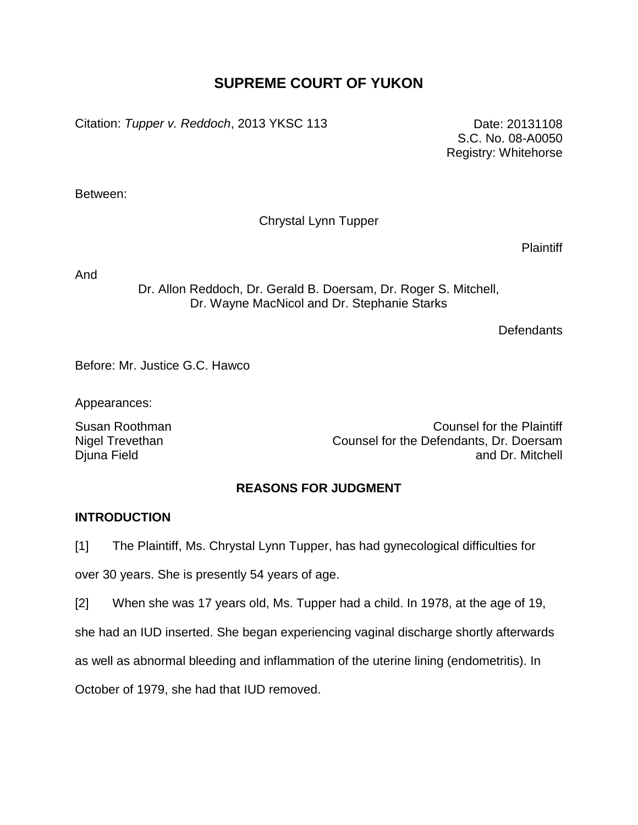# **SUPREME COURT OF YUKON**

Citation: *Tupper v. Reddoch*, 2013 YKSC 113 Date: 20131108

S.C. No. 08-A0050 Registry: Whitehorse

Between:

Chrystal Lynn Tupper

**Plaintiff** 

And

Dr. Allon Reddoch, Dr. Gerald B. Doersam, Dr. Roger S. Mitchell, Dr. Wayne MacNicol and Dr. Stephanie Starks

**Defendants** 

Before: Mr. Justice G.C. Hawco

Appearances:

Nigel Trevethan Djuna Field

Susan Roothman Counsel for the Plaintiff Counsel for the Defendants, Dr. Doersam and Dr. Mitchell

# **REASONS FOR JUDGMENT**

# **INTRODUCTION**

[1] The Plaintiff, Ms. Chrystal Lynn Tupper, has had gynecological difficulties for

over 30 years. She is presently 54 years of age.

[2] When she was 17 years old, Ms. Tupper had a child. In 1978, at the age of 19,

she had an IUD inserted. She began experiencing vaginal discharge shortly afterwards

as well as abnormal bleeding and inflammation of the uterine lining (endometritis). In

October of 1979, she had that IUD removed.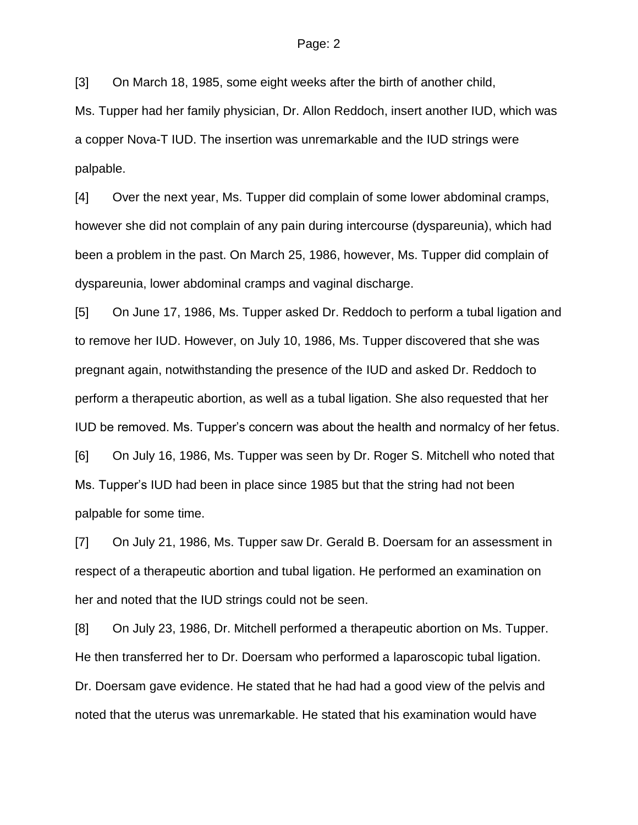[3] On March 18, 1985, some eight weeks after the birth of another child,

Ms. Tupper had her family physician, Dr. Allon Reddoch, insert another IUD, which was a copper Nova-T IUD. The insertion was unremarkable and the IUD strings were palpable.

[4] Over the next year, Ms. Tupper did complain of some lower abdominal cramps, however she did not complain of any pain during intercourse (dyspareunia), which had been a problem in the past. On March 25, 1986, however, Ms. Tupper did complain of dyspareunia, lower abdominal cramps and vaginal discharge.

[5] On June 17, 1986, Ms. Tupper asked Dr. Reddoch to perform a tubal ligation and to remove her IUD. However, on July 10, 1986, Ms. Tupper discovered that she was pregnant again, notwithstanding the presence of the IUD and asked Dr. Reddoch to perform a therapeutic abortion, as well as a tubal ligation. She also requested that her IUD be removed. Ms. Tupper's concern was about the health and normalcy of her fetus. [6] On July 16, 1986, Ms. Tupper was seen by Dr. Roger S. Mitchell who noted that Ms. Tupper's IUD had been in place since 1985 but that the string had not been palpable for some time.

[7] On July 21, 1986, Ms. Tupper saw Dr. Gerald B. Doersam for an assessment in respect of a therapeutic abortion and tubal ligation. He performed an examination on her and noted that the IUD strings could not be seen.

[8] On July 23, 1986, Dr. Mitchell performed a therapeutic abortion on Ms. Tupper. He then transferred her to Dr. Doersam who performed a laparoscopic tubal ligation. Dr. Doersam gave evidence. He stated that he had had a good view of the pelvis and noted that the uterus was unremarkable. He stated that his examination would have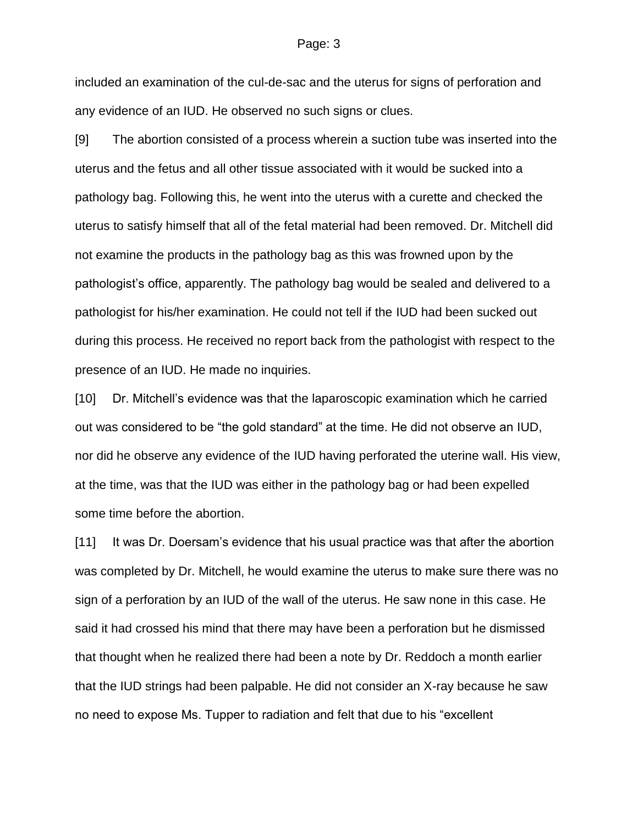included an examination of the cul-de-sac and the uterus for signs of perforation and any evidence of an IUD. He observed no such signs or clues.

[9] The abortion consisted of a process wherein a suction tube was inserted into the uterus and the fetus and all other tissue associated with it would be sucked into a pathology bag. Following this, he went into the uterus with a curette and checked the uterus to satisfy himself that all of the fetal material had been removed. Dr. Mitchell did not examine the products in the pathology bag as this was frowned upon by the pathologist's office, apparently. The pathology bag would be sealed and delivered to a pathologist for his/her examination. He could not tell if the IUD had been sucked out during this process. He received no report back from the pathologist with respect to the presence of an IUD. He made no inquiries.

[10] Dr. Mitchell's evidence was that the laparoscopic examination which he carried out was considered to be "the gold standard" at the time. He did not observe an IUD, nor did he observe any evidence of the IUD having perforated the uterine wall. His view, at the time, was that the IUD was either in the pathology bag or had been expelled some time before the abortion.

[11] It was Dr. Doersam's evidence that his usual practice was that after the abortion was completed by Dr. Mitchell, he would examine the uterus to make sure there was no sign of a perforation by an IUD of the wall of the uterus. He saw none in this case. He said it had crossed his mind that there may have been a perforation but he dismissed that thought when he realized there had been a note by Dr. Reddoch a month earlier that the IUD strings had been palpable. He did not consider an X-ray because he saw no need to expose Ms. Tupper to radiation and felt that due to his "excellent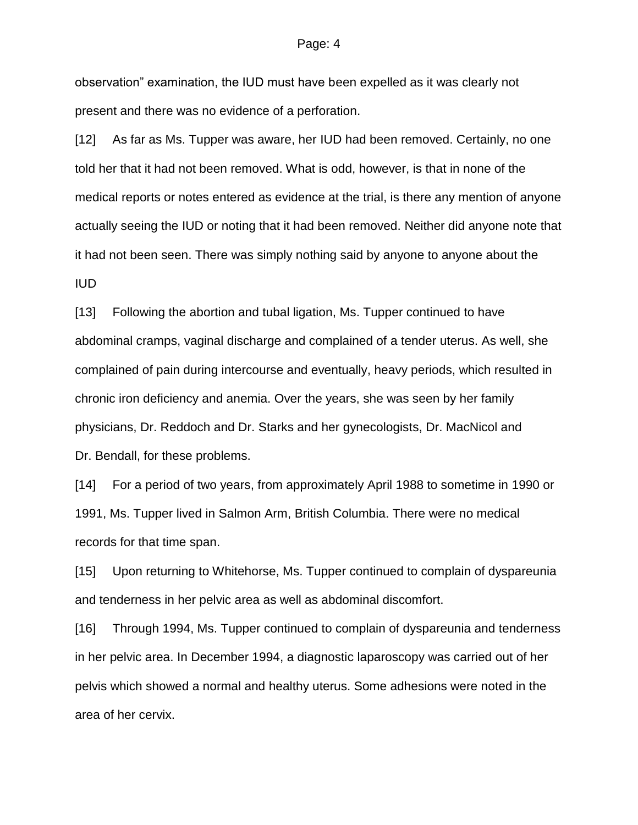observation" examination, the IUD must have been expelled as it was clearly not present and there was no evidence of a perforation.

[12] As far as Ms. Tupper was aware, her IUD had been removed. Certainly, no one told her that it had not been removed. What is odd, however, is that in none of the medical reports or notes entered as evidence at the trial, is there any mention of anyone actually seeing the IUD or noting that it had been removed. Neither did anyone note that it had not been seen. There was simply nothing said by anyone to anyone about the IUD

[13] Following the abortion and tubal ligation, Ms. Tupper continued to have abdominal cramps, vaginal discharge and complained of a tender uterus. As well, she complained of pain during intercourse and eventually, heavy periods, which resulted in chronic iron deficiency and anemia. Over the years, she was seen by her family physicians, Dr. Reddoch and Dr. Starks and her gynecologists, Dr. MacNicol and Dr. Bendall, for these problems.

[14] For a period of two years, from approximately April 1988 to sometime in 1990 or 1991, Ms. Tupper lived in Salmon Arm, British Columbia. There were no medical records for that time span.

[15] Upon returning to Whitehorse, Ms. Tupper continued to complain of dyspareunia and tenderness in her pelvic area as well as abdominal discomfort.

[16] Through 1994, Ms. Tupper continued to complain of dyspareunia and tenderness in her pelvic area. In December 1994, a diagnostic laparoscopy was carried out of her pelvis which showed a normal and healthy uterus. Some adhesions were noted in the area of her cervix.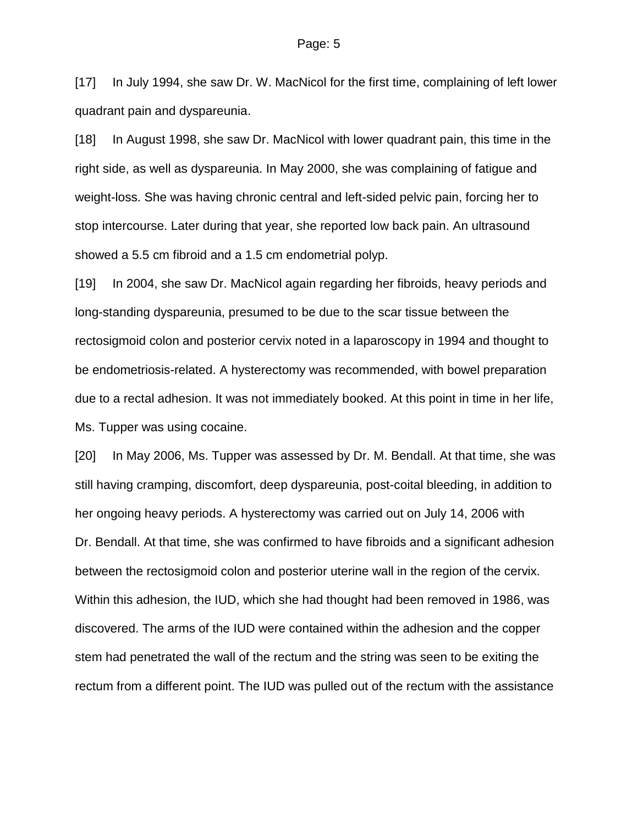[17] In July 1994, she saw Dr. W. MacNicol for the first time, complaining of left lower quadrant pain and dyspareunia.

[18] In August 1998, she saw Dr. MacNicol with lower quadrant pain, this time in the right side, as well as dyspareunia. In May 2000, she was complaining of fatigue and weight-loss. She was having chronic central and left-sided pelvic pain, forcing her to stop intercourse. Later during that year, she reported low back pain. An ultrasound showed a 5.5 cm fibroid and a 1.5 cm endometrial polyp.

[19] In 2004, she saw Dr. MacNicol again regarding her fibroids, heavy periods and long-standing dyspareunia, presumed to be due to the scar tissue between the rectosigmoid colon and posterior cervix noted in a laparoscopy in 1994 and thought to be endometriosis-related. A hysterectomy was recommended, with bowel preparation due to a rectal adhesion. It was not immediately booked. At this point in time in her life, Ms. Tupper was using cocaine.

[20] In May 2006, Ms. Tupper was assessed by Dr. M. Bendall. At that time, she was still having cramping, discomfort, deep dyspareunia, post-coital bleeding, in addition to her ongoing heavy periods. A hysterectomy was carried out on July 14, 2006 with Dr. Bendall. At that time, she was confirmed to have fibroids and a significant adhesion between the rectosigmoid colon and posterior uterine wall in the region of the cervix. Within this adhesion, the IUD, which she had thought had been removed in 1986, was discovered. The arms of the IUD were contained within the adhesion and the copper stem had penetrated the wall of the rectum and the string was seen to be exiting the rectum from a different point. The IUD was pulled out of the rectum with the assistance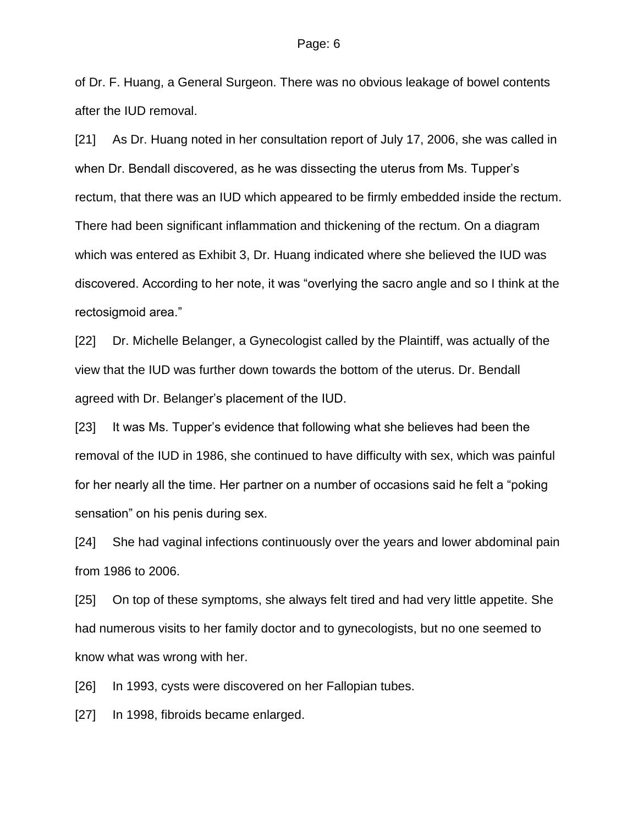of Dr. F. Huang, a General Surgeon. There was no obvious leakage of bowel contents after the IUD removal.

[21] As Dr. Huang noted in her consultation report of July 17, 2006, she was called in when Dr. Bendall discovered, as he was dissecting the uterus from Ms. Tupper's rectum, that there was an IUD which appeared to be firmly embedded inside the rectum. There had been significant inflammation and thickening of the rectum. On a diagram which was entered as Exhibit 3, Dr. Huang indicated where she believed the IUD was discovered. According to her note, it was "overlying the sacro angle and so I think at the rectosigmoid area."

[22] Dr. Michelle Belanger, a Gynecologist called by the Plaintiff, was actually of the view that the IUD was further down towards the bottom of the uterus. Dr. Bendall agreed with Dr. Belanger's placement of the IUD.

[23] It was Ms. Tupper's evidence that following what she believes had been the removal of the IUD in 1986, she continued to have difficulty with sex, which was painful for her nearly all the time. Her partner on a number of occasions said he felt a "poking sensation" on his penis during sex.

[24] She had vaginal infections continuously over the years and lower abdominal pain from 1986 to 2006.

[25] On top of these symptoms, she always felt tired and had very little appetite. She had numerous visits to her family doctor and to gynecologists, but no one seemed to know what was wrong with her.

[26] In 1993, cysts were discovered on her Fallopian tubes.

[27] In 1998, fibroids became enlarged.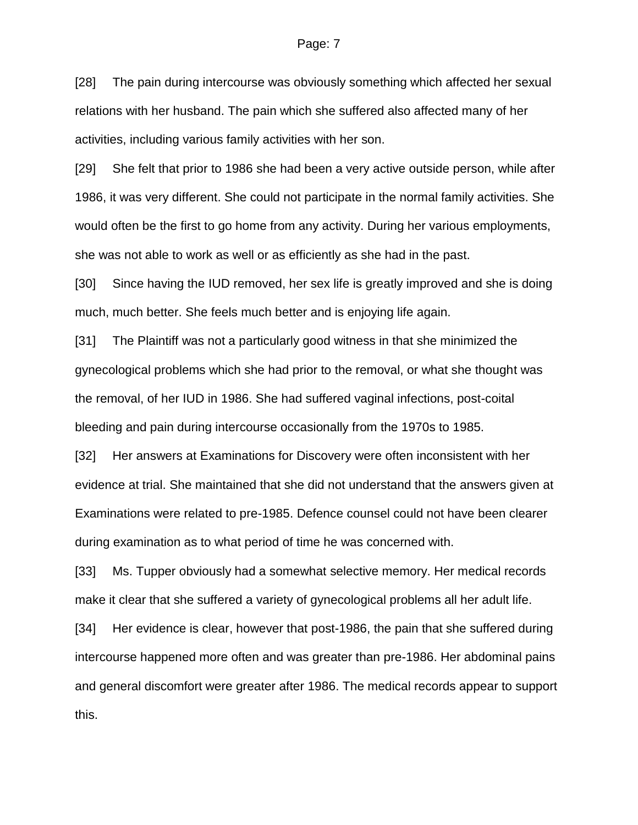[28] The pain during intercourse was obviously something which affected her sexual relations with her husband. The pain which she suffered also affected many of her activities, including various family activities with her son.

[29] She felt that prior to 1986 she had been a very active outside person, while after 1986, it was very different. She could not participate in the normal family activities. She would often be the first to go home from any activity. During her various employments, she was not able to work as well or as efficiently as she had in the past.

[30] Since having the IUD removed, her sex life is greatly improved and she is doing much, much better. She feels much better and is enjoying life again.

[31] The Plaintiff was not a particularly good witness in that she minimized the gynecological problems which she had prior to the removal, or what she thought was the removal, of her IUD in 1986. She had suffered vaginal infections, post-coital bleeding and pain during intercourse occasionally from the 1970s to 1985.

[32] Her answers at Examinations for Discovery were often inconsistent with her evidence at trial. She maintained that she did not understand that the answers given at Examinations were related to pre-1985. Defence counsel could not have been clearer during examination as to what period of time he was concerned with.

[33] Ms. Tupper obviously had a somewhat selective memory. Her medical records make it clear that she suffered a variety of gynecological problems all her adult life.

[34] Her evidence is clear, however that post-1986, the pain that she suffered during intercourse happened more often and was greater than pre-1986. Her abdominal pains and general discomfort were greater after 1986. The medical records appear to support this.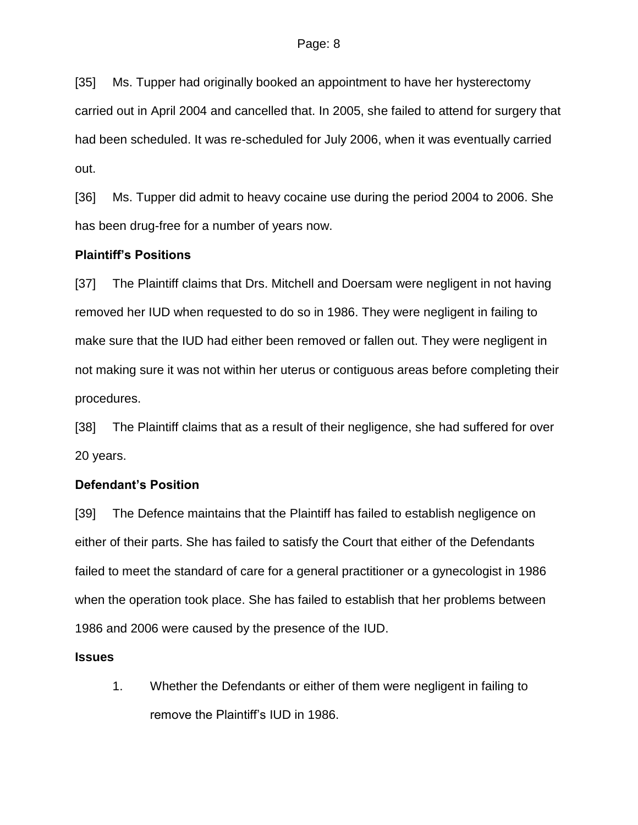[35] Ms. Tupper had originally booked an appointment to have her hysterectomy carried out in April 2004 and cancelled that. In 2005, she failed to attend for surgery that had been scheduled. It was re-scheduled for July 2006, when it was eventually carried out.

[36] Ms. Tupper did admit to heavy cocaine use during the period 2004 to 2006. She has been drug-free for a number of years now.

### **Plaintiff's Positions**

[37] The Plaintiff claims that Drs. Mitchell and Doersam were negligent in not having removed her IUD when requested to do so in 1986. They were negligent in failing to make sure that the IUD had either been removed or fallen out. They were negligent in not making sure it was not within her uterus or contiguous areas before completing their procedures.

[38] The Plaintiff claims that as a result of their negligence, she had suffered for over 20 years.

### **Defendant's Position**

[39] The Defence maintains that the Plaintiff has failed to establish negligence on either of their parts. She has failed to satisfy the Court that either of the Defendants failed to meet the standard of care for a general practitioner or a gynecologist in 1986 when the operation took place. She has failed to establish that her problems between 1986 and 2006 were caused by the presence of the IUD.

### **Issues**

1. Whether the Defendants or either of them were negligent in failing to remove the Plaintiff's IUD in 1986.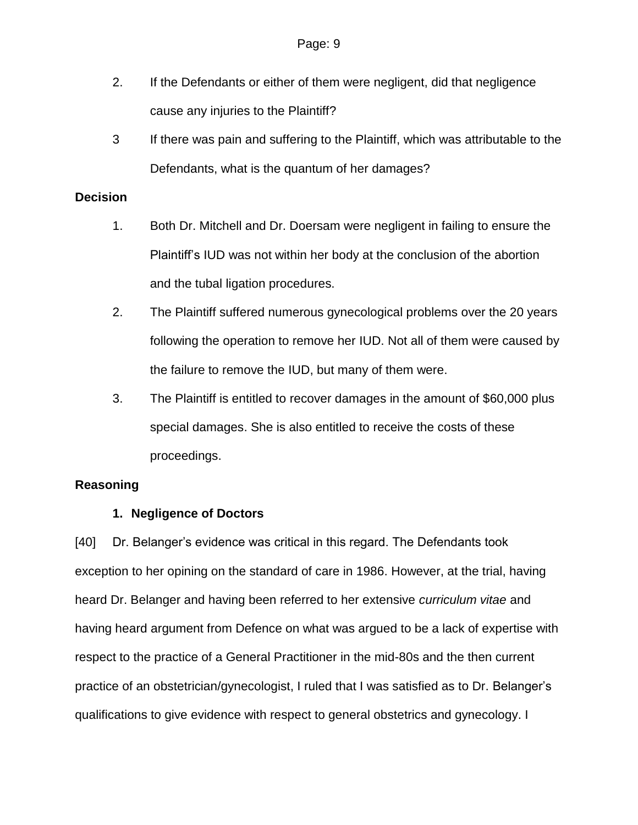- 2. If the Defendants or either of them were negligent, did that negligence cause any injuries to the Plaintiff?
- 3 If there was pain and suffering to the Plaintiff, which was attributable to the Defendants, what is the quantum of her damages?

### **Decision**

- 1. Both Dr. Mitchell and Dr. Doersam were negligent in failing to ensure the Plaintiff's IUD was not within her body at the conclusion of the abortion and the tubal ligation procedures.
- 2. The Plaintiff suffered numerous gynecological problems over the 20 years following the operation to remove her IUD. Not all of them were caused by the failure to remove the IUD, but many of them were.
- 3. The Plaintiff is entitled to recover damages in the amount of \$60,000 plus special damages. She is also entitled to receive the costs of these proceedings.

# **Reasoning**

# **1. Negligence of Doctors**

[40] Dr. Belanger's evidence was critical in this regard. The Defendants took exception to her opining on the standard of care in 1986. However, at the trial, having heard Dr. Belanger and having been referred to her extensive *curriculum vitae* and having heard argument from Defence on what was argued to be a lack of expertise with respect to the practice of a General Practitioner in the mid-80s and the then current practice of an obstetrician/gynecologist, I ruled that I was satisfied as to Dr. Belanger's qualifications to give evidence with respect to general obstetrics and gynecology. I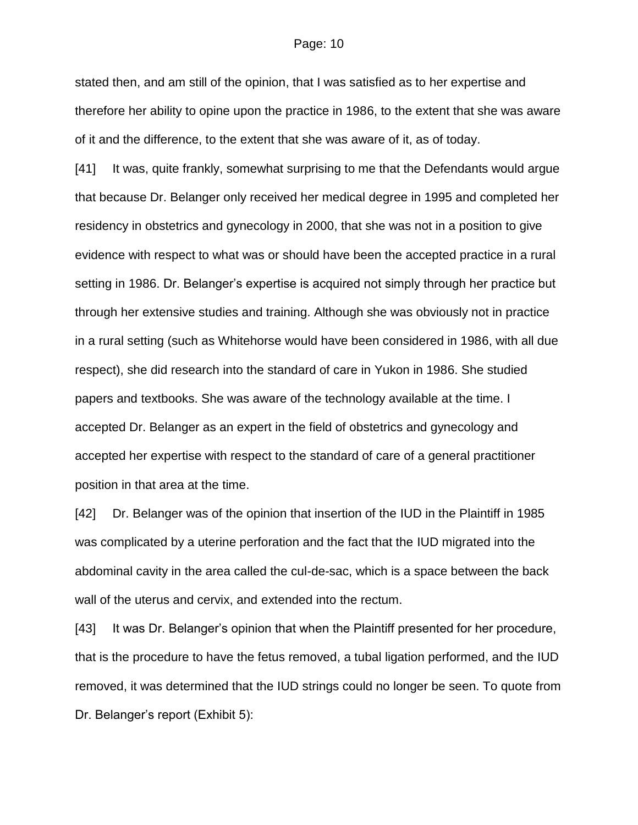stated then, and am still of the opinion, that I was satisfied as to her expertise and therefore her ability to opine upon the practice in 1986, to the extent that she was aware of it and the difference, to the extent that she was aware of it, as of today.

[41] It was, quite frankly, somewhat surprising to me that the Defendants would argue that because Dr. Belanger only received her medical degree in 1995 and completed her residency in obstetrics and gynecology in 2000, that she was not in a position to give evidence with respect to what was or should have been the accepted practice in a rural setting in 1986. Dr. Belanger's expertise is acquired not simply through her practice but through her extensive studies and training. Although she was obviously not in practice in a rural setting (such as Whitehorse would have been considered in 1986, with all due respect), she did research into the standard of care in Yukon in 1986. She studied papers and textbooks. She was aware of the technology available at the time. I accepted Dr. Belanger as an expert in the field of obstetrics and gynecology and accepted her expertise with respect to the standard of care of a general practitioner position in that area at the time.

[42] Dr. Belanger was of the opinion that insertion of the IUD in the Plaintiff in 1985 was complicated by a uterine perforation and the fact that the IUD migrated into the abdominal cavity in the area called the cul-de-sac, which is a space between the back wall of the uterus and cervix, and extended into the rectum.

[43] It was Dr. Belanger's opinion that when the Plaintiff presented for her procedure, that is the procedure to have the fetus removed, a tubal ligation performed, and the IUD removed, it was determined that the IUD strings could no longer be seen. To quote from Dr. Belanger's report (Exhibit 5):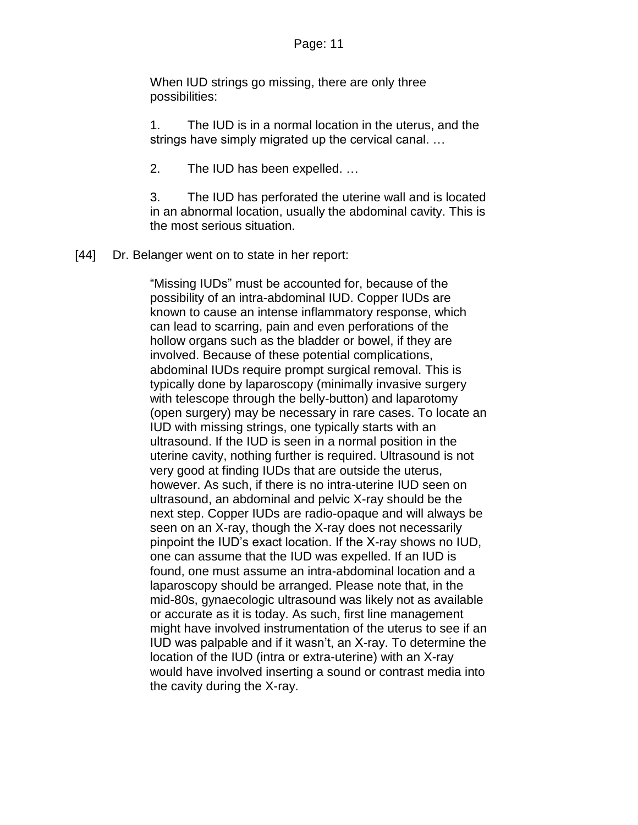When IUD strings go missing, there are only three possibilities:

1. The IUD is in a normal location in the uterus, and the strings have simply migrated up the cervical canal. …

2. The IUD has been expelled. …

3. The IUD has perforated the uterine wall and is located in an abnormal location, usually the abdominal cavity. This is the most serious situation.

[44] Dr. Belanger went on to state in her report:

"Missing IUDs" must be accounted for, because of the possibility of an intra-abdominal IUD. Copper IUDs are known to cause an intense inflammatory response, which can lead to scarring, pain and even perforations of the hollow organs such as the bladder or bowel, if they are involved. Because of these potential complications, abdominal IUDs require prompt surgical removal. This is typically done by laparoscopy (minimally invasive surgery with telescope through the belly-button) and laparotomy (open surgery) may be necessary in rare cases. To locate an IUD with missing strings, one typically starts with an ultrasound. If the IUD is seen in a normal position in the uterine cavity, nothing further is required. Ultrasound is not very good at finding IUDs that are outside the uterus, however. As such, if there is no intra-uterine IUD seen on ultrasound, an abdominal and pelvic X-ray should be the next step. Copper IUDs are radio-opaque and will always be seen on an X-ray, though the X-ray does not necessarily pinpoint the IUD's exact location. If the X-ray shows no IUD, one can assume that the IUD was expelled. If an IUD is found, one must assume an intra-abdominal location and a laparoscopy should be arranged. Please note that, in the mid-80s, gynaecologic ultrasound was likely not as available or accurate as it is today. As such, first line management might have involved instrumentation of the uterus to see if an IUD was palpable and if it wasn't, an X-ray. To determine the location of the IUD (intra or extra-uterine) with an X-ray would have involved inserting a sound or contrast media into the cavity during the X-ray.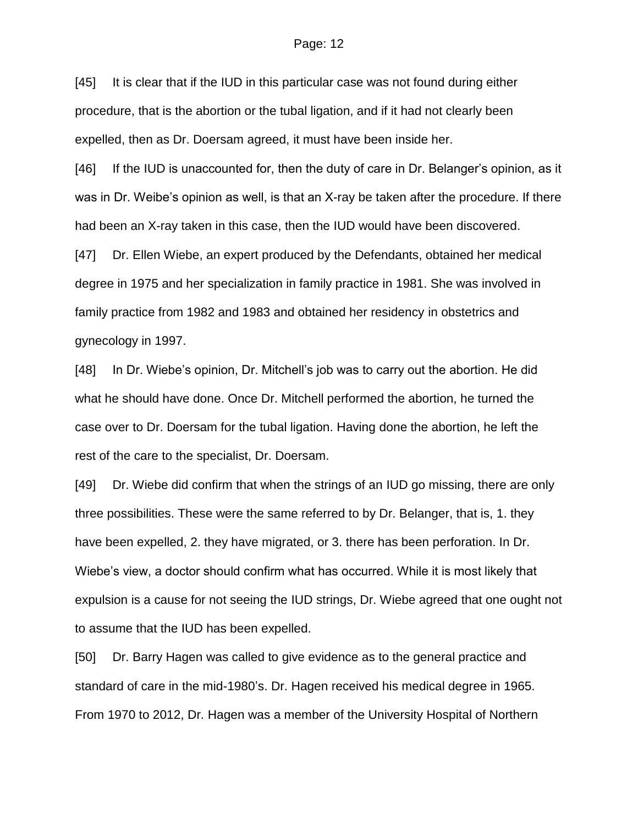[45] It is clear that if the IUD in this particular case was not found during either procedure, that is the abortion or the tubal ligation, and if it had not clearly been expelled, then as Dr. Doersam agreed, it must have been inside her.

[46] If the IUD is unaccounted for, then the duty of care in Dr. Belanger's opinion, as it was in Dr. Weibe's opinion as well, is that an X-ray be taken after the procedure. If there had been an X-ray taken in this case, then the IUD would have been discovered.

[47] Dr. Ellen Wiebe, an expert produced by the Defendants, obtained her medical degree in 1975 and her specialization in family practice in 1981. She was involved in family practice from 1982 and 1983 and obtained her residency in obstetrics and gynecology in 1997.

[48] In Dr. Wiebe's opinion, Dr. Mitchell's job was to carry out the abortion. He did what he should have done. Once Dr. Mitchell performed the abortion, he turned the case over to Dr. Doersam for the tubal ligation. Having done the abortion, he left the rest of the care to the specialist, Dr. Doersam.

[49] Dr. Wiebe did confirm that when the strings of an IUD go missing, there are only three possibilities. These were the same referred to by Dr. Belanger, that is, 1. they have been expelled, 2. they have migrated, or 3. there has been perforation. In Dr. Wiebe's view, a doctor should confirm what has occurred. While it is most likely that expulsion is a cause for not seeing the IUD strings, Dr. Wiebe agreed that one ought not to assume that the IUD has been expelled.

[50] Dr. Barry Hagen was called to give evidence as to the general practice and standard of care in the mid-1980's. Dr. Hagen received his medical degree in 1965. From 1970 to 2012, Dr. Hagen was a member of the University Hospital of Northern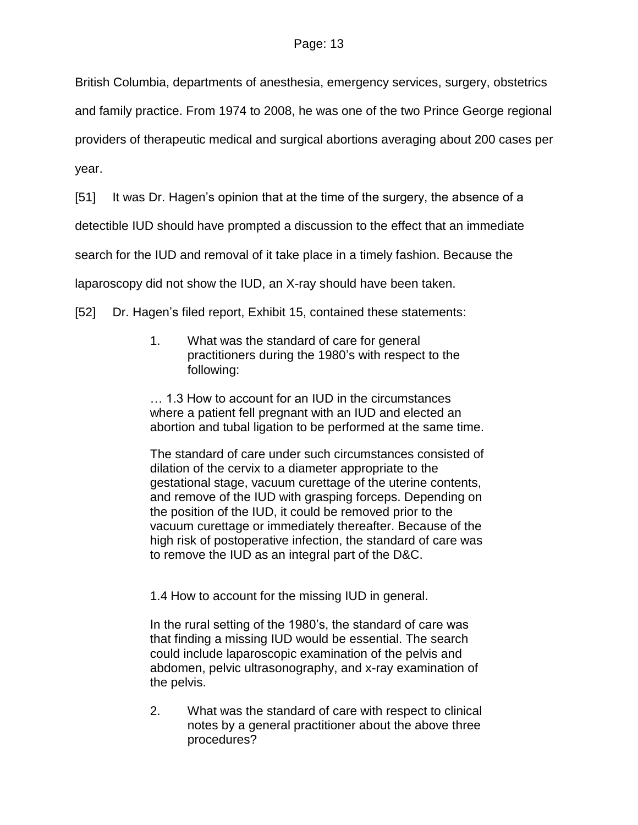British Columbia, departments of anesthesia, emergency services, surgery, obstetrics and family practice. From 1974 to 2008, he was one of the two Prince George regional providers of therapeutic medical and surgical abortions averaging about 200 cases per

year.

[51] It was Dr. Hagen's opinion that at the time of the surgery, the absence of a

detectible IUD should have prompted a discussion to the effect that an immediate

search for the IUD and removal of it take place in a timely fashion. Because the

laparoscopy did not show the IUD, an X-ray should have been taken.

[52] Dr. Hagen's filed report, Exhibit 15, contained these statements:

1. What was the standard of care for general practitioners during the 1980's with respect to the following:

… 1.3 How to account for an IUD in the circumstances where a patient fell pregnant with an IUD and elected an abortion and tubal ligation to be performed at the same time.

The standard of care under such circumstances consisted of dilation of the cervix to a diameter appropriate to the gestational stage, vacuum curettage of the uterine contents, and remove of the IUD with grasping forceps. Depending on the position of the IUD, it could be removed prior to the vacuum curettage or immediately thereafter. Because of the high risk of postoperative infection, the standard of care was to remove the IUD as an integral part of the D&C.

1.4 How to account for the missing IUD in general.

In the rural setting of the 1980's, the standard of care was that finding a missing IUD would be essential. The search could include laparoscopic examination of the pelvis and abdomen, pelvic ultrasonography, and x-ray examination of the pelvis.

2. What was the standard of care with respect to clinical notes by a general practitioner about the above three procedures?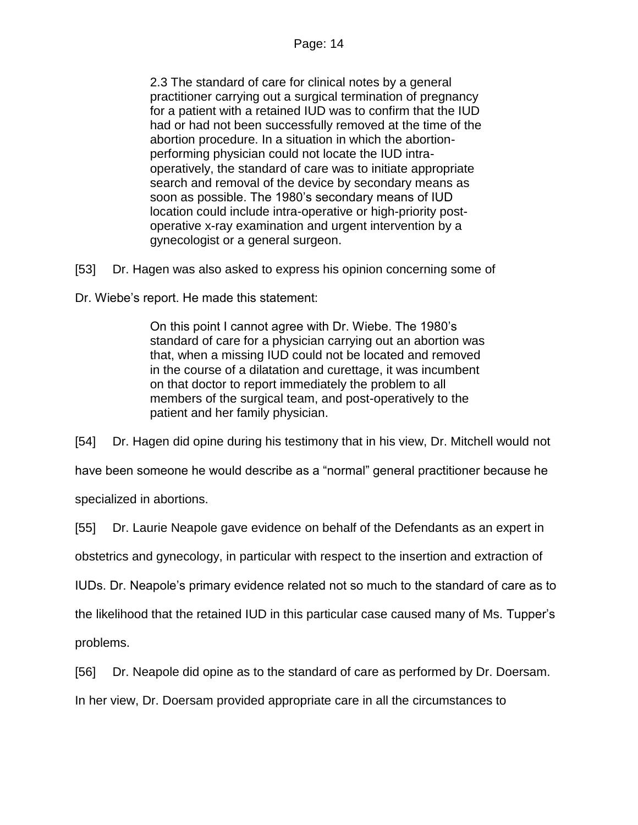2.3 The standard of care for clinical notes by a general practitioner carrying out a surgical termination of pregnancy for a patient with a retained IUD was to confirm that the IUD had or had not been successfully removed at the time of the abortion procedure. In a situation in which the abortionperforming physician could not locate the IUD intraoperatively, the standard of care was to initiate appropriate search and removal of the device by secondary means as soon as possible. The 1980's secondary means of IUD location could include intra-operative or high-priority postoperative x-ray examination and urgent intervention by a gynecologist or a general surgeon.

[53] Dr. Hagen was also asked to express his opinion concerning some of

Dr. Wiebe's report. He made this statement:

On this point I cannot agree with Dr. Wiebe. The 1980's standard of care for a physician carrying out an abortion was that, when a missing IUD could not be located and removed in the course of a dilatation and curettage, it was incumbent on that doctor to report immediately the problem to all members of the surgical team, and post-operatively to the patient and her family physician.

[54] Dr. Hagen did opine during his testimony that in his view, Dr. Mitchell would not

have been someone he would describe as a "normal" general practitioner because he specialized in abortions.

[55] Dr. Laurie Neapole gave evidence on behalf of the Defendants as an expert in

obstetrics and gynecology, in particular with respect to the insertion and extraction of

IUDs. Dr. Neapole's primary evidence related not so much to the standard of care as to

the likelihood that the retained IUD in this particular case caused many of Ms. Tupper's

problems.

[56] Dr. Neapole did opine as to the standard of care as performed by Dr. Doersam.

In her view, Dr. Doersam provided appropriate care in all the circumstances to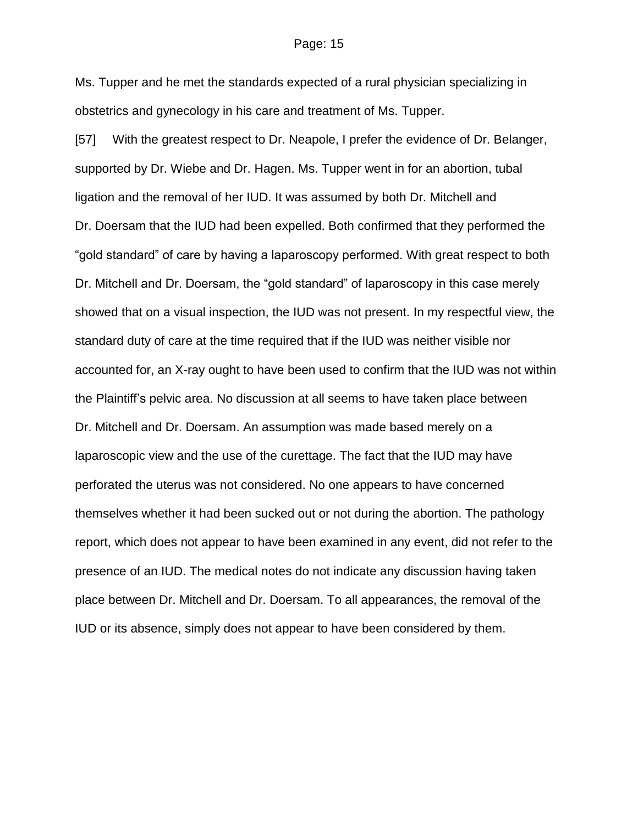Ms. Tupper and he met the standards expected of a rural physician specializing in obstetrics and gynecology in his care and treatment of Ms. Tupper.

[57] With the greatest respect to Dr. Neapole, I prefer the evidence of Dr. Belanger, supported by Dr. Wiebe and Dr. Hagen. Ms. Tupper went in for an abortion, tubal ligation and the removal of her IUD. It was assumed by both Dr. Mitchell and Dr. Doersam that the IUD had been expelled. Both confirmed that they performed the "gold standard" of care by having a laparoscopy performed. With great respect to both Dr. Mitchell and Dr. Doersam, the "gold standard" of laparoscopy in this case merely showed that on a visual inspection, the IUD was not present. In my respectful view, the standard duty of care at the time required that if the IUD was neither visible nor accounted for, an X-ray ought to have been used to confirm that the IUD was not within the Plaintiff's pelvic area. No discussion at all seems to have taken place between Dr. Mitchell and Dr. Doersam. An assumption was made based merely on a laparoscopic view and the use of the curettage. The fact that the IUD may have perforated the uterus was not considered. No one appears to have concerned themselves whether it had been sucked out or not during the abortion. The pathology report, which does not appear to have been examined in any event, did not refer to the presence of an IUD. The medical notes do not indicate any discussion having taken place between Dr. Mitchell and Dr. Doersam. To all appearances, the removal of the IUD or its absence, simply does not appear to have been considered by them.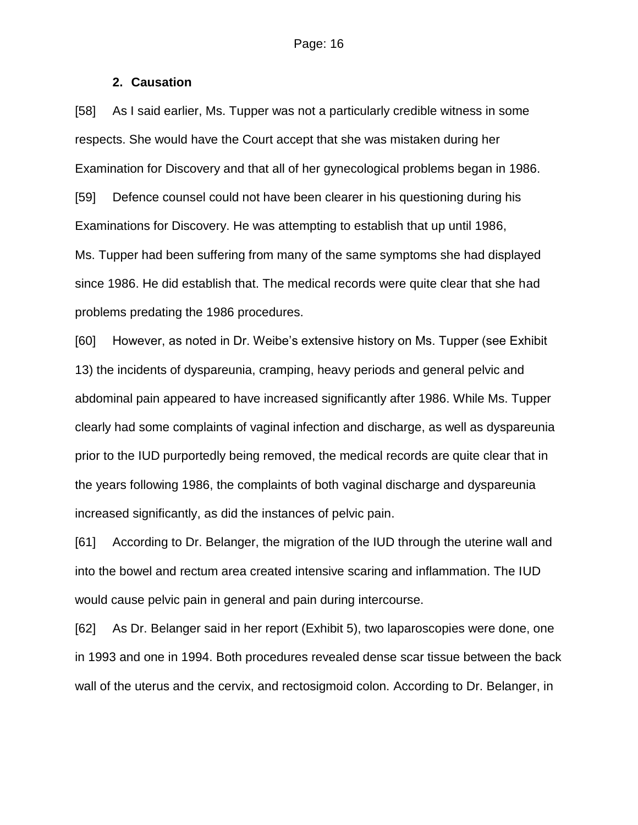### **2. Causation**

[58] As I said earlier, Ms. Tupper was not a particularly credible witness in some respects. She would have the Court accept that she was mistaken during her Examination for Discovery and that all of her gynecological problems began in 1986. [59] Defence counsel could not have been clearer in his questioning during his Examinations for Discovery. He was attempting to establish that up until 1986, Ms. Tupper had been suffering from many of the same symptoms she had displayed since 1986. He did establish that. The medical records were quite clear that she had problems predating the 1986 procedures.

[60] However, as noted in Dr. Weibe's extensive history on Ms. Tupper (see Exhibit 13) the incidents of dyspareunia, cramping, heavy periods and general pelvic and abdominal pain appeared to have increased significantly after 1986. While Ms. Tupper clearly had some complaints of vaginal infection and discharge, as well as dyspareunia prior to the IUD purportedly being removed, the medical records are quite clear that in the years following 1986, the complaints of both vaginal discharge and dyspareunia increased significantly, as did the instances of pelvic pain.

[61] According to Dr. Belanger, the migration of the IUD through the uterine wall and into the bowel and rectum area created intensive scaring and inflammation. The IUD would cause pelvic pain in general and pain during intercourse.

[62] As Dr. Belanger said in her report (Exhibit 5), two laparoscopies were done, one in 1993 and one in 1994. Both procedures revealed dense scar tissue between the back wall of the uterus and the cervix, and rectosigmoid colon. According to Dr. Belanger, in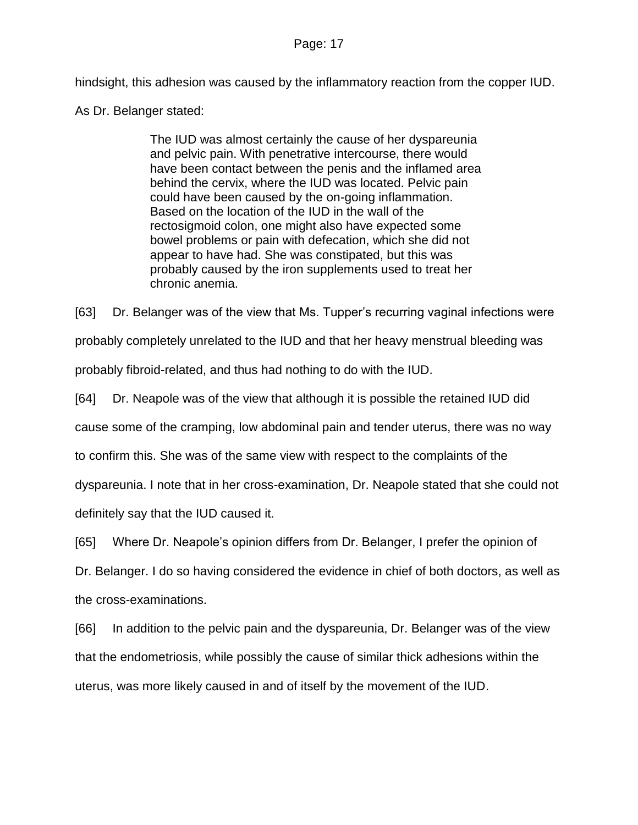hindsight, this adhesion was caused by the inflammatory reaction from the copper IUD.

As Dr. Belanger stated:

The IUD was almost certainly the cause of her dyspareunia and pelvic pain. With penetrative intercourse, there would have been contact between the penis and the inflamed area behind the cervix, where the IUD was located. Pelvic pain could have been caused by the on-going inflammation. Based on the location of the IUD in the wall of the rectosigmoid colon, one might also have expected some bowel problems or pain with defecation, which she did not appear to have had. She was constipated, but this was probably caused by the iron supplements used to treat her chronic anemia.

[63] Dr. Belanger was of the view that Ms. Tupper's recurring vaginal infections were probably completely unrelated to the IUD and that her heavy menstrual bleeding was probably fibroid-related, and thus had nothing to do with the IUD.

[64] Dr. Neapole was of the view that although it is possible the retained IUD did

cause some of the cramping, low abdominal pain and tender uterus, there was no way

to confirm this. She was of the same view with respect to the complaints of the

dyspareunia. I note that in her cross-examination, Dr. Neapole stated that she could not

definitely say that the IUD caused it.

[65] Where Dr. Neapole's opinion differs from Dr. Belanger, I prefer the opinion of

Dr. Belanger. I do so having considered the evidence in chief of both doctors, as well as the cross-examinations.

[66] In addition to the pelvic pain and the dyspareunia, Dr. Belanger was of the view that the endometriosis, while possibly the cause of similar thick adhesions within the uterus, was more likely caused in and of itself by the movement of the IUD.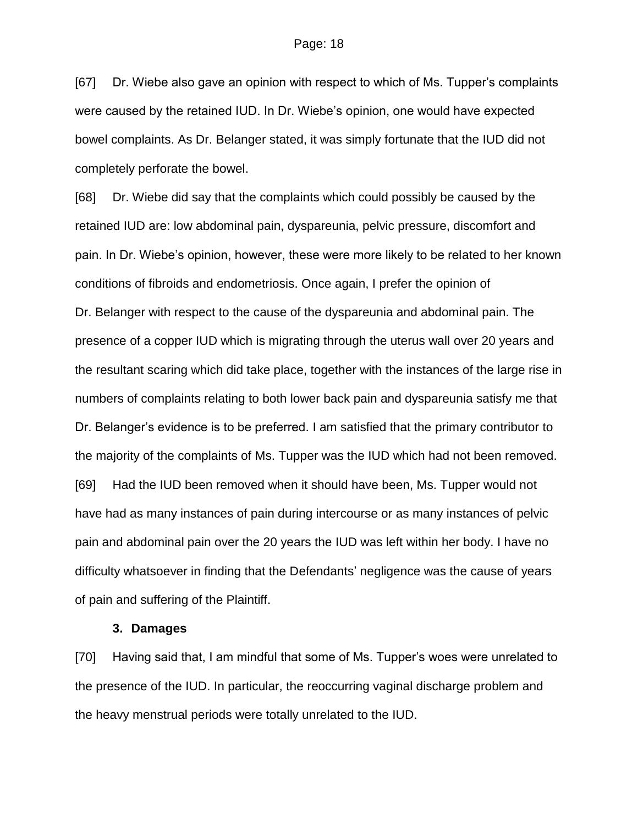[67] Dr. Wiebe also gave an opinion with respect to which of Ms. Tupper's complaints were caused by the retained IUD. In Dr. Wiebe's opinion, one would have expected bowel complaints. As Dr. Belanger stated, it was simply fortunate that the IUD did not completely perforate the bowel.

[68] Dr. Wiebe did say that the complaints which could possibly be caused by the retained IUD are: low abdominal pain, dyspareunia, pelvic pressure, discomfort and pain. In Dr. Wiebe's opinion, however, these were more likely to be related to her known conditions of fibroids and endometriosis. Once again, I prefer the opinion of Dr. Belanger with respect to the cause of the dyspareunia and abdominal pain. The presence of a copper IUD which is migrating through the uterus wall over 20 years and the resultant scaring which did take place, together with the instances of the large rise in numbers of complaints relating to both lower back pain and dyspareunia satisfy me that Dr. Belanger's evidence is to be preferred. I am satisfied that the primary contributor to the majority of the complaints of Ms. Tupper was the IUD which had not been removed. [69] Had the IUD been removed when it should have been, Ms. Tupper would not have had as many instances of pain during intercourse or as many instances of pelvic pain and abdominal pain over the 20 years the IUD was left within her body. I have no difficulty whatsoever in finding that the Defendants' negligence was the cause of years of pain and suffering of the Plaintiff.

### **3. Damages**

[70] Having said that, I am mindful that some of Ms. Tupper's woes were unrelated to the presence of the IUD. In particular, the reoccurring vaginal discharge problem and the heavy menstrual periods were totally unrelated to the IUD.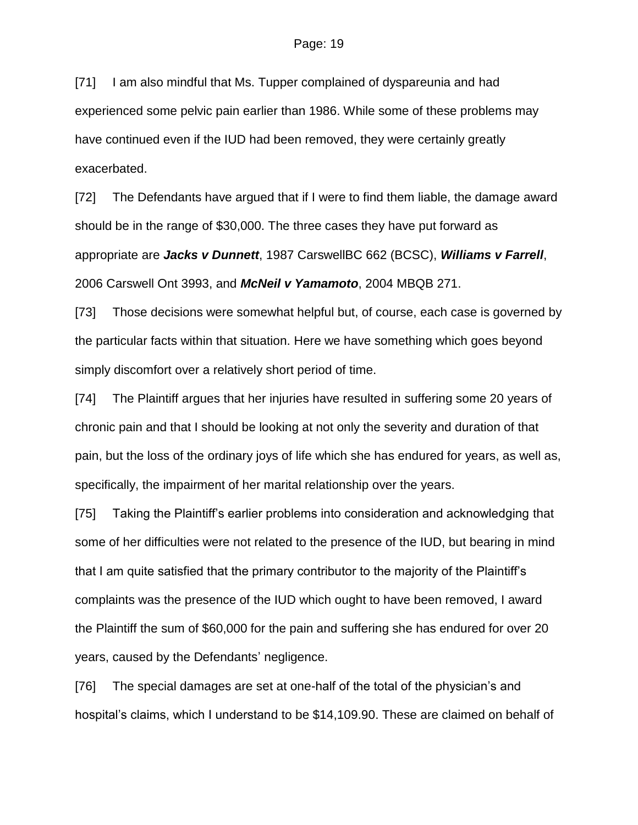[71] I am also mindful that Ms. Tupper complained of dyspareunia and had experienced some pelvic pain earlier than 1986. While some of these problems may have continued even if the IUD had been removed, they were certainly greatly exacerbated.

[72] The Defendants have argued that if I were to find them liable, the damage award should be in the range of \$30,000. The three cases they have put forward as appropriate are *Jacks v Dunnett*, 1987 CarswellBC 662 (BCSC), *Williams v Farrell*, 2006 Carswell Ont 3993, and *McNeil v Yamamoto*, 2004 MBQB 271.

[73] Those decisions were somewhat helpful but, of course, each case is governed by the particular facts within that situation. Here we have something which goes beyond simply discomfort over a relatively short period of time.

[74] The Plaintiff argues that her injuries have resulted in suffering some 20 years of chronic pain and that I should be looking at not only the severity and duration of that pain, but the loss of the ordinary joys of life which she has endured for years, as well as, specifically, the impairment of her marital relationship over the years.

[75] Taking the Plaintiff's earlier problems into consideration and acknowledging that some of her difficulties were not related to the presence of the IUD, but bearing in mind that I am quite satisfied that the primary contributor to the majority of the Plaintiff's complaints was the presence of the IUD which ought to have been removed, I award the Plaintiff the sum of \$60,000 for the pain and suffering she has endured for over 20 years, caused by the Defendants' negligence.

[76] The special damages are set at one-half of the total of the physician's and hospital's claims, which I understand to be \$14,109.90. These are claimed on behalf of